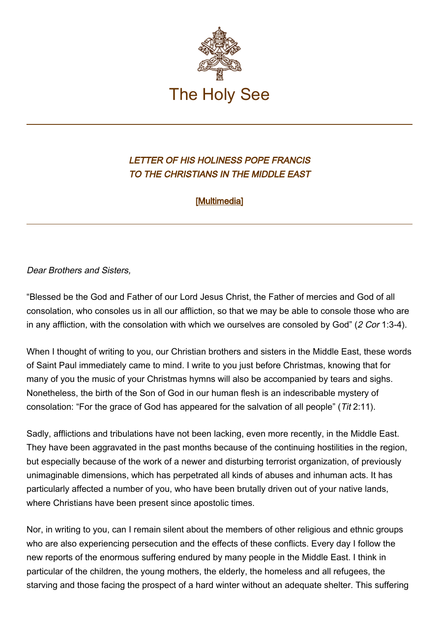

## LETTER OF HIS HOLINESS POPE FRANCIS TO THE CHRISTIANS IN THE MIDDLE EAST

[\[Multimedia](http://w2.vatican.va/content/francesco/en/events/event.dir.html/content/vaticanevents/en/2014/12/23/letteramediooriente.html)]

## Dear Brothers and Sisters,

"Blessed be the God and Father of our Lord Jesus Christ, the Father of mercies and God of all consolation, who consoles us in all our affliction, so that we may be able to console those who are in any affliction, with the consolation with which we ourselves are consoled by God" (2 Cor 1:3-4).

When I thought of writing to you, our Christian brothers and sisters in the Middle East, these words of Saint Paul immediately came to mind. I write to you just before Christmas, knowing that for many of you the music of your Christmas hymns will also be accompanied by tears and sighs. Nonetheless, the birth of the Son of God in our human flesh is an indescribable mystery of consolation: "For the grace of God has appeared for the salvation of all people" (Tit 2:11).

Sadly, afflictions and tribulations have not been lacking, even more recently, in the Middle East. They have been aggravated in the past months because of the continuing hostilities in the region, but especially because of the work of a newer and disturbing terrorist organization, of previously unimaginable dimensions, which has perpetrated all kinds of abuses and inhuman acts. It has particularly affected a number of you, who have been brutally driven out of your native lands, where Christians have been present since apostolic times.

Nor, in writing to you, can I remain silent about the members of other religious and ethnic groups who are also experiencing persecution and the effects of these conflicts. Every day I follow the new reports of the enormous suffering endured by many people in the Middle East. I think in particular of the children, the young mothers, the elderly, the homeless and all refugees, the starving and those facing the prospect of a hard winter without an adequate shelter. This suffering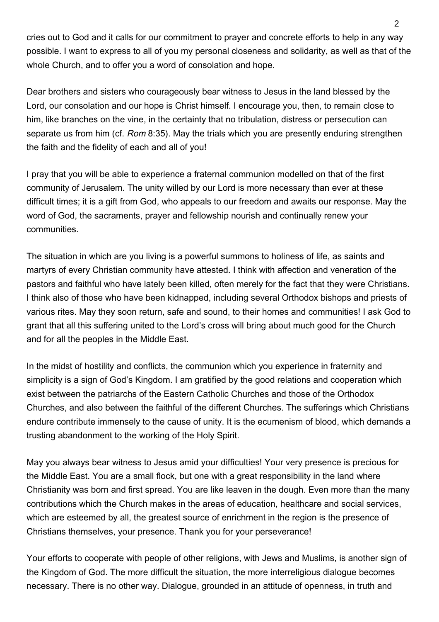cries out to God and it calls for our commitment to prayer and concrete efforts to help in any way possible. I want to express to all of you my personal closeness and solidarity, as well as that of the whole Church, and to offer you a word of consolation and hope.

Dear brothers and sisters who courageously bear witness to Jesus in the land blessed by the Lord, our consolation and our hope is Christ himself. I encourage you, then, to remain close to him, like branches on the vine, in the certainty that no tribulation, distress or persecution can separate us from him (cf. Rom 8:35). May the trials which you are presently enduring strengthen the faith and the fidelity of each and all of you!

I pray that you will be able to experience a fraternal communion modelled on that of the first community of Jerusalem. The unity willed by our Lord is more necessary than ever at these difficult times; it is a gift from God, who appeals to our freedom and awaits our response. May the word of God, the sacraments, prayer and fellowship nourish and continually renew your communities.

The situation in which are you living is a powerful summons to holiness of life, as saints and martyrs of every Christian community have attested. I think with affection and veneration of the pastors and faithful who have lately been killed, often merely for the fact that they were Christians. I think also of those who have been kidnapped, including several Orthodox bishops and priests of various rites. May they soon return, safe and sound, to their homes and communities! I ask God to grant that all this suffering united to the Lord's cross will bring about much good for the Church and for all the peoples in the Middle East.

In the midst of hostility and conflicts, the communion which you experience in fraternity and simplicity is a sign of God's Kingdom. I am gratified by the good relations and cooperation which exist between the patriarchs of the Eastern Catholic Churches and those of the Orthodox Churches, and also between the faithful of the different Churches. The sufferings which Christians endure contribute immensely to the cause of unity. It is the ecumenism of blood, which demands a trusting abandonment to the working of the Holy Spirit.

May you always bear witness to Jesus amid your difficulties! Your very presence is precious for the Middle East. You are a small flock, but one with a great responsibility in the land where Christianity was born and first spread. You are like leaven in the dough. Even more than the many contributions which the Church makes in the areas of education, healthcare and social services, which are esteemed by all, the greatest source of enrichment in the region is the presence of Christians themselves, your presence. Thank you for your perseverance!

Your efforts to cooperate with people of other religions, with Jews and Muslims, is another sign of the Kingdom of God. The more difficult the situation, the more interreligious dialogue becomes necessary. There is no other way. Dialogue, grounded in an attitude of openness, in truth and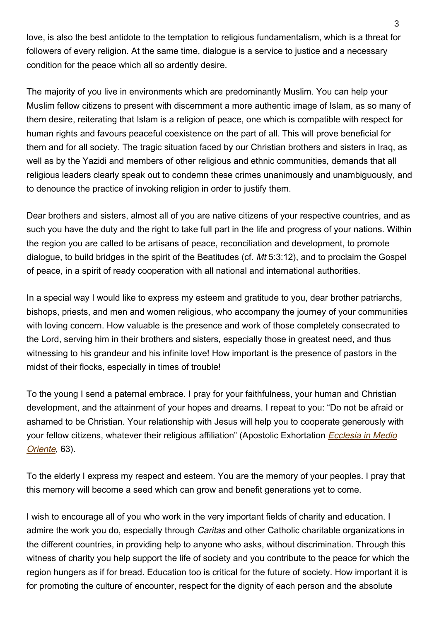love, is also the best antidote to the temptation to religious fundamentalism, which is a threat for followers of every religion. At the same time, dialogue is a service to justice and a necessary condition for the peace which all so ardently desire.

The majority of you live in environments which are predominantly Muslim. You can help your Muslim fellow citizens to present with discernment a more authentic image of Islam, as so many of them desire, reiterating that Islam is a religion of peace, one which is compatible with respect for human rights and favours peaceful coexistence on the part of all. This will prove beneficial for them and for all society. The tragic situation faced by our Christian brothers and sisters in Iraq, as well as by the Yazidi and members of other religious and ethnic communities, demands that all religious leaders clearly speak out to condemn these crimes unanimously and unambiguously, and to denounce the practice of invoking religion in order to justify them.

Dear brothers and sisters, almost all of you are native citizens of your respective countries, and as such you have the duty and the right to take full part in the life and progress of your nations. Within the region you are called to be artisans of peace, reconciliation and development, to promote dialogue, to build bridges in the spirit of the Beatitudes (cf. Mt 5:3:12), and to proclaim the Gospel of peace, in a spirit of ready cooperation with all national and international authorities.

In a special way I would like to express my esteem and gratitude to you, dear brother patriarchs, bishops, priests, and men and women religious, who accompany the journey of your communities with loving concern. How valuable is the presence and work of those completely consecrated to the Lord, serving him in their brothers and sisters, especially those in greatest need, and thus witnessing to his grandeur and his infinite love! How important is the presence of pastors in the midst of their flocks, especially in times of trouble!

To the young I send a paternal embrace. I pray for your faithfulness, your human and Christian development, and the attainment of your hopes and dreams. I repeat to you: "Do not be afraid or ashamed to be Christian. Your relationship with Jesus will help you to cooperate generously with your fellow citizens, whatever their religious affiliation" (Apostolic Exhortation *[Ecclesia in Medio](http://www.vatican.va/holy_father/benedict_xvi/apost_exhortations/documents/hf_ben-xvi_exh_20120914_ecclesia-in-medio-oriente_en.html)* [Oriente](http://www.vatican.va/holy_father/benedict_xvi/apost_exhortations/documents/hf_ben-xvi_exh_20120914_ecclesia-in-medio-oriente_en.html), 63).

To the elderly I express my respect and esteem. You are the memory of your peoples. I pray that this memory will become a seed which can grow and benefit generations yet to come.

I wish to encourage all of you who work in the very important fields of charity and education. I admire the work you do, especially through *Caritas* and other Catholic charitable organizations in the different countries, in providing help to anyone who asks, without discrimination. Through this witness of charity you help support the life of society and you contribute to the peace for which the region hungers as if for bread. Education too is critical for the future of society. How important it is for promoting the culture of encounter, respect for the dignity of each person and the absolute